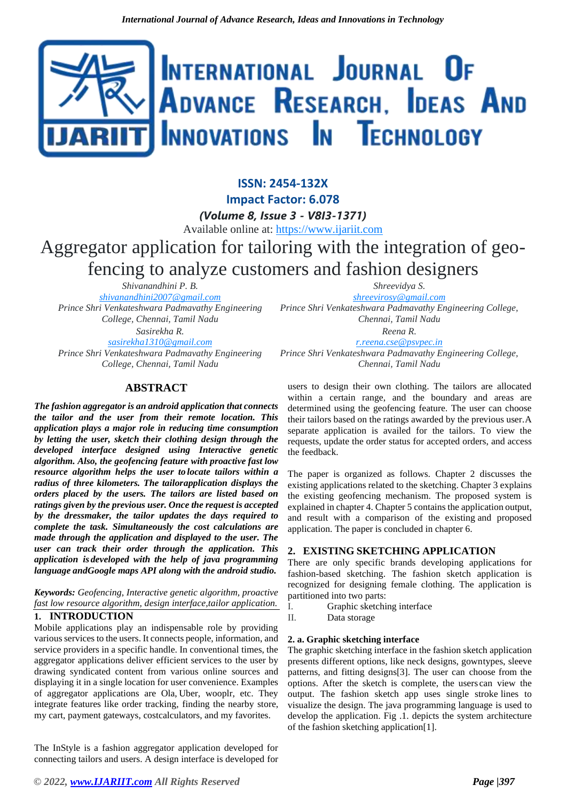# INTERNATIONAL JOURNAL OF ADVANCE RESEARCH, IDEAS AND Innovations In Technology

**ISSN: 2454-132X Impact Factor: 6.078** *(Volume 8, Issue 3 - V8I3-1371)* Available online at: [https://www.ijariit.com](https://www.ijariit.com/?utm_source=pdf&utm_medium=edition&utm_campaign=OmAkSols&utm_term=V8I3-1371) Aggregator application for tailoring with the integration of geofencing to analyze customers and fashion designers

*Shivanandhini P. B. [shivanandhini2007@gmail.com](mailto:shivanandhini2007@gmail.com) Prince Shri Venkateshwara Padmavathy Engineering College, Chennai, Tamil Nadu Sasirekha R.*

*[sasirekha1310@gmail.com](mailto:sasirekha1310@gmail.com)*

*Prince Shri Venkateshwara Padmavathy Engineering College, Chennai, Tamil Nadu*

# **ABSTRACT**

*The fashion aggregator is an android application that connects the tailor and the user from their remote location. This application plays a major role in reducing time consumption by letting the user, sketch their clothing design through the developed interface designed using Interactive genetic algorithm. Also, the geofencing feature with proactive fast low resource algorithm helps the user to locate tailors within a radius of three kilometers. The tailorapplication displays the orders placed by the users. The tailors are listed based on ratings given by the previous user. Once the request is accepted by the dressmaker, the tailor updates the days required to complete the task. Simultaneously the cost calculations are made through the application and displayed to the user. The user can track their order through the application. This application is developed with the help of java programming language andGoogle maps API along with the android studio.*

*Keywords: Geofencing, Interactive genetic algorithm, proactive fast low resource algorithm, design interface,tailor application.*

# **1. INTRODUCTION**

Mobile applications play an indispensable role by providing various services to the users. It connects people, information, and service providers in a specific handle. In conventional times, the aggregator applications deliver efficient services to the user by drawing syndicated content from various online sources and displaying it in a single location for user convenience. Examples of aggregator applications are Ola, Uber, wooplr, etc. They integrate features like order tracking, finding the nearby store, my cart, payment gateways, costcalculators, and my favorites.

The InStyle is a fashion aggregator application developed for connecting tailors and users. A design interface is developed for *Shreevidya S.*

*[shreevirosy@gmail.com](mailto:shreevirosy@gmail.com) Prince Shri Venkateshwara Padmavathy Engineering College, Chennai, Tamil Nadu*

*Reena R. [r.reena.cse@psvpec.in](mailto:r.reena.cse@psvpec.in) Prince Shri Venkateshwara Padmavathy Engineering College, Chennai, Tamil Nadu*

users to design their own clothing. The tailors are allocated within a certain range, and the boundary and areas are determined using the geofencing feature. The user can choose their tailors based on the ratings awarded by the previous user.A separate application is availed for the tailors. To view the requests, update the order status for accepted orders, and access the feedback.

The paper is organized as follows. Chapter 2 discusses the existing applications related to the sketching. Chapter 3 explains the existing geofencing mechanism. The proposed system is explained in chapter 4. Chapter 5 contains the application output, and result with a comparison of the existing and proposed application. The paper is concluded in chapter 6.

# **2. EXISTING SKETCHING APPLICATION**

There are only specific brands developing applications for fashion-based sketching. The fashion sketch application is recognized for designing female clothing. The application is partitioned into two parts:

I. Graphic sketching interface

II. Data storage

## **2. a. Graphic sketching interface**

The graphic sketching interface in the fashion sketch application presents different options, like neck designs, gowntypes, sleeve patterns, and fitting designs[3]. The user can choose from the options. After the sketch is complete, the users can view the output. The fashion sketch app uses single stroke lines to visualize the design. The java programming language is used to develop the application. Fig .1. depicts the system architecture of the fashion sketching application[1].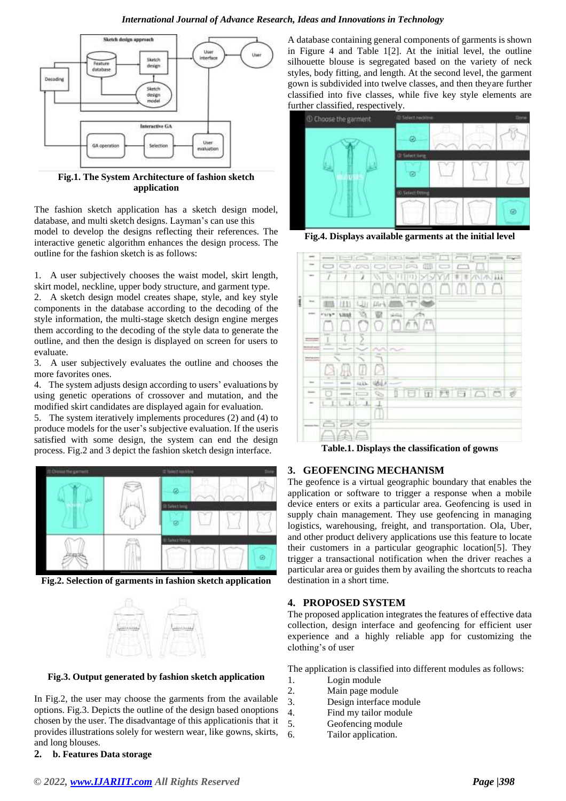#### *International Journal of Advance Research, Ideas and Innovations in Technology*



**Fig.1. The System Architecture of fashion sketch application**

The fashion sketch application has a sketch design model, database, and multi sketch designs. Layman's can use this model to develop the designs reflecting their references. The interactive genetic algorithm enhances the design process. The outline for the fashion sketch is as follows:

1. A user subjectively chooses the waist model, skirt length, skirt model, neckline, upper body structure, and garment type.

2. A sketch design model creates shape, style, and key style components in the database according to the decoding of the style information, the multi-stage sketch design engine merges them according to the decoding of the style data to generate the outline, and then the design is displayed on screen for users to evaluate.

3. A user subjectively evaluates the outline and chooses the more favorites ones.

4. The system adjusts design according to users' evaluations by using genetic operations of crossover and mutation, and the modified skirt candidates are displayed again for evaluation.

5. The system iteratively implements procedures (2) and (4) to produce models for the user's subjective evaluation. If the useris satisfied with some design, the system can end the design process. Fig.2 and 3 depict the fashion sketch design interface.



**Fig.2. Selection of garments in fashion sketch application**



**Fig.3. Output generated by fashion sketch application**

In Fig.2, the user may choose the garments from the available options. Fig.3. Depicts the outline of the design based onoptions chosen by the user. The disadvantage of this applicationis that it provides illustrations solely for western wear, like gowns, skirts, and long blouses.

**2. b. Features Data storage**

A database containing general components of garments is shown in Figure 4 and Table 1[2]. At the initial level, the outline silhouette blouse is segregated based on the variety of neck styles, body fitting, and length. At the second level, the garment gown is subdivided into twelve classes, and then theyare further classified into five classes, while five key style elements are further classified, respectively.



**Fig.4. Displays available garments at the initial level**



**Table.1. Displays the classification of gowns**

## **3. GEOFENCING MECHANISM**

The geofence is a virtual geographic boundary that enables the application or software to trigger a response when a mobile device enters or exits a particular area. Geofencing is used in supply chain management. They use geofencing in managing logistics, warehousing, freight, and transportation. Ola, Uber, and other product delivery applications use this feature to locate their customers in a particular geographic location[5]. They trigger a transactional notification when the driver reaches a particular area or guides them by availing the shortcuts to reacha destination in a short time.

## **4. PROPOSED SYSTEM**

The proposed application integrates the features of effective data collection, design interface and geofencing for efficient user experience and a highly reliable app for customizing the clothing's of user

The application is classified into different modules as follows:

- 1. Login module
- 2. Main page module
- 3. Design interface module
- 4. Find my tailor module
- 5. Geofencing module
- 6. Tailor application.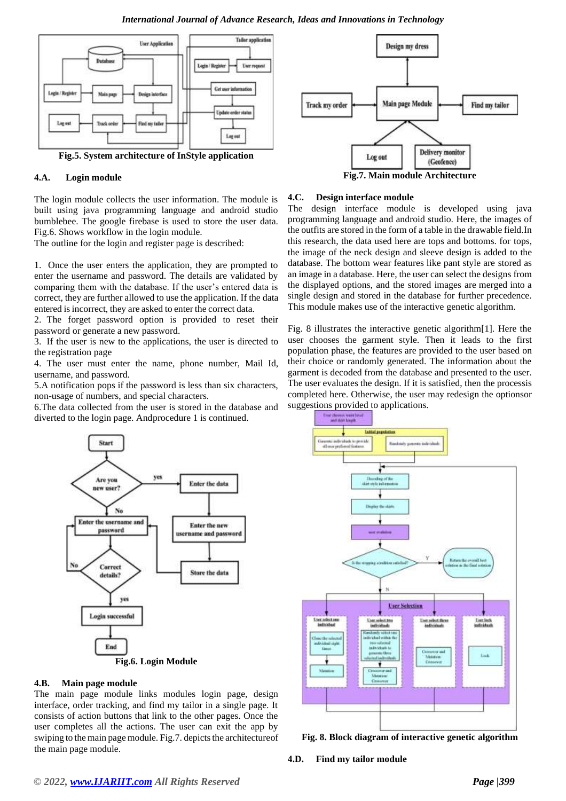#### *International Journal of Advance Research, Ideas and Innovations in Technology*



**Fig.5. System architecture of InStyle application**

#### **4.A. Login module**

The login module collects the user information. The module is built using java programming language and android studio bumblebee. The google firebase is used to store the user data. Fig.6. Shows workflow in the login module.

The outline for the login and register page is described:

1. Once the user enters the application, they are prompted to enter the username and password. The details are validated by comparing them with the database. If the user's entered data is correct, they are further allowed to use the application. If the data entered is incorrect, they are asked to enter the correct data.

2. The forget password option is provided to reset their password or generate a new password.

3. If the user is new to the applications, the user is directed to the registration page

4. The user must enter the name, phone number, Mail Id, username, and password.

5.A notification pops if the password is less than six characters, non-usage of numbers, and special characters.

6.The data collected from the user is stored in the database and diverted to the login page. Andprocedure 1 is continued.



#### **4.C. Design interface module**

The design interface module is developed using java programming language and android studio. Here, the images of the outfits are stored in the form of a table in the drawable field.In this research, the data used here are tops and bottoms. for tops, the image of the neck design and sleeve design is added to the database. The bottom wear features like pant style are stored as an image in a database. Here, the user can select the designs from the displayed options, and the stored images are merged into a single design and stored in the database for further precedence. This module makes use of the interactive genetic algorithm.

Fig. 8 illustrates the interactive genetic algorithm[1]. Here the user chooses the garment style. Then it leads to the first population phase, the features are provided to the user based on their choice or randomly generated. The information about the garment is decoded from the database and presented to the user. The user evaluates the design. If it is satisfied, then the processis completed here. Otherwise, the user may redesign the optionsor suggestions provided to applications.



## **4.B. Main page module**

The main page module links modules login page, design interface, order tracking, and find my tailor in a single page. It consists of action buttons that link to the other pages. Once the user completes all the actions. The user can exit the app by swiping to the main page module. Fig.7. depicts the architecture of the main page module.



**Fig. 8. Block diagram of interactive genetic algorithm**

**4.D. Find my tailor module**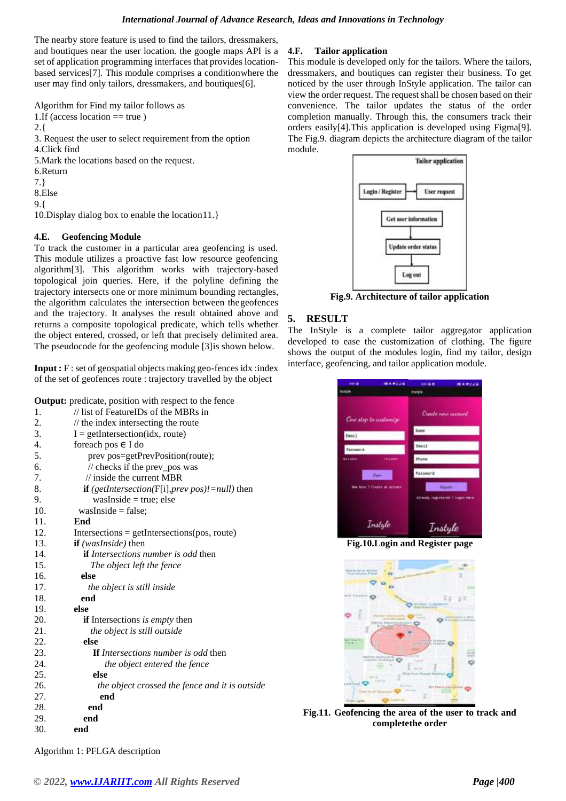The nearby store feature is used to find the tailors, dressmakers, and boutiques near the user location. the google maps API is a set of application programming interfaces that provides locationbased services[7]. This module comprises a conditionwhere the user may find only tailors, dressmakers, and boutiques[6].

Algorithm for Find my tailor follows as 1.If (access location  $==$  true) 2.{ 3. Request the user to select requirement from the option 4.Click find 5.Mark the locations based on the request. 6.Return 7.} 8.Else 9.{ 10.Display dialog box to enable the location11.}

## **4.E. Geofencing Module**

To track the customer in a particular area geofencing is used. This module utilizes a proactive fast low resource geofencing algorithm[3]. This algorithm works with trajectory-based topological join queries. Here, if the polyline defining the trajectory intersects one or more minimum bounding rectangles, the algorithm calculates the intersection between thegeofences and the trajectory. It analyses the result obtained above and returns a composite topological predicate, which tells whether the object entered, crossed, or left that precisely delimited area. The pseudocode for the geofencing module [3]is shown below.

**Input :** F : set of geospatial objects making geo-fences idx :index of the set of geofences route : trajectory travelled by the object

| <b>Output:</b> predicate, position with respect to the fence |                                                              |
|--------------------------------------------------------------|--------------------------------------------------------------|
| 1.                                                           | // list of FeatureIDs of the MBRs in                         |
| 2.                                                           | $\frac{1}{\pi}$ the index intersecting the route             |
| 3.                                                           | $I = getIntersection(idx, route)$                            |
| 4.                                                           | foreach pos $\in$ I do                                       |
| 5.                                                           | prev pos=getPrevPosition(route);                             |
| 6.                                                           | // checks if the prev_pos was                                |
| 7.                                                           | $\frac{1}{2}$ inside the current MBR                         |
| 8.                                                           | <b>if</b> (getIntersection( $F[i]$ , prev pos)! = null) then |
| 9.                                                           | $wasInside = true; else$                                     |
| 10.                                                          | $wasInside = false;$                                         |
| 11.                                                          | End                                                          |
| 12.                                                          | $Intersections = getIntersections(pos, route)$               |
| 13.                                                          | <b>if</b> (wasInside) then                                   |
| 14.                                                          | <b>if</b> <i>Intersections number is odd</i> then            |
| 15.                                                          | The object left the fence                                    |
| 16.                                                          | else                                                         |
| 17.                                                          | <i>the object is still inside</i>                            |
| 18.                                                          | end                                                          |
| 19.                                                          | else                                                         |
| 20.                                                          | <b>if</b> Intersections <i>is empty</i> then                 |
| 21.                                                          | the object is still outside                                  |
| 22.                                                          | else                                                         |
| 23.                                                          | <b>If</b> Intersections number is odd then                   |
| 24.                                                          | the object entered the fence                                 |
| 25.                                                          | else                                                         |
| 26.                                                          | the object crossed the fence and it is outside               |
| 27.                                                          | end                                                          |
| 28.                                                          | end                                                          |
| 29.                                                          | end                                                          |
| 30.                                                          | end                                                          |

## **4.F. Tailor application**

This module is developed only for the tailors. Where the tailors, dressmakers, and boutiques can register their business. To get noticed by the user through InStyle application. The tailor can view the order request. The request shall be chosen based on their convenience. The tailor updates the status of the order completion manually. Through this, the consumers track their orders easily[4].This application is developed using Figma[9]. The Fig.9. diagram depicts the architecture diagram of the tailor module.



**Fig.9. Architecture of tailor application**

# **5. RESULT**

The InStyle is a complete tailor aggregator application developed to ease the customization of clothing. The figure shows the output of the modules login, find my tailor, design interface, geofencing, and tailor application module.



**Fig.10.Login and Register page**



**Fig.11. Geofencing the area of the user to track and completethe order**

Algorithm 1: PFLGA description